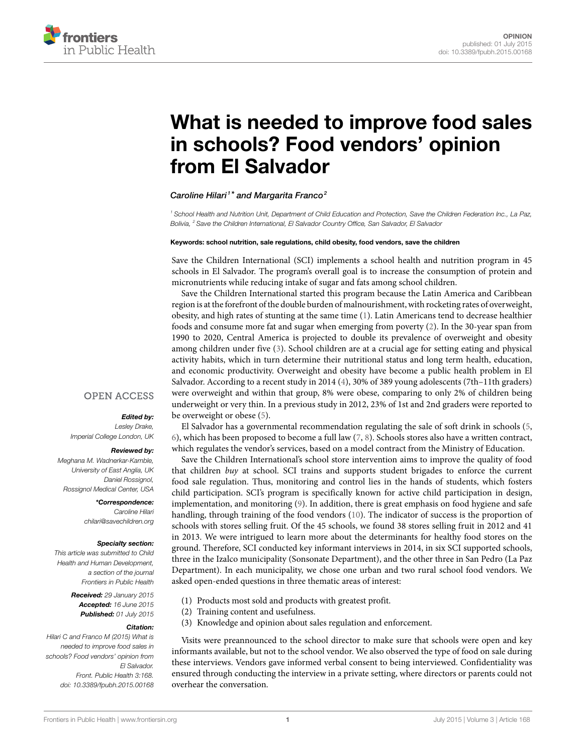

# **[What is needed to improve food sales](http://www.frontiersin.org/Journal/10.3389/fpubh.2015.00168/abstract) [in schools? Food vendors' opinion](http://www.frontiersin.org/Journal/10.3389/fpubh.2015.00168/abstract) [from El Salvador](http://www.frontiersin.org/Journal/10.3389/fpubh.2015.00168/abstract)**

#### *[Caroline Hilari](http://loop.frontiersin.org/people/183651/overview) <sup>1</sup> \* and [Margarita Franco](http://loop.frontiersin.org/people/218153/overview)<sup>2</sup>*

*<sup>1</sup> School Health and Nutrition Unit, Department of Child Education and Protection, Save the Children Federation Inc., La Paz, Bolivia, <sup>2</sup> Save the Children International, El Salvador Country Office, San Salvador, El Salvador*

#### **Keywords: school nutrition, sale regulations, child obesity, food vendors, save the children**

Save the Children International (SCI) implements a school health and nutrition program in 45 schools in El Salvador. The program's overall goal is to increase the consumption of protein and micronutrients while reducing intake of sugar and fats among school children.

Save the Children International started this program because the Latin America and Caribbean region is at the forefront of the double burden of malnourishment, with rocketing rates of overweight, obesity, and high rates of stunting at the same time [\(1\)](#page-2-0). Latin Americans tend to decrease healthier foods and consume more fat and sugar when emerging from poverty([2](#page-2-1)). In the 30-year span from 1990 to 2020, Central America is projected to double its prevalence of overweight and obesity among children under five([3](#page-2-2)). School children are at a crucial age for setting eating and physical activity habits, which in turn determine their nutritional status and long term health, education, and economic productivity. Overweight and obesity have become a public health problem in El Salvador. According to a recent study in 2014([4](#page-2-3)), 30% of 389 young adolescents (7th–11th graders) were overweight and within that group, 8% were obese, comparing to only 2% of children being underweight or very thin. In a previous study in 2012, 23% of 1st and 2nd graders were reported to be overweight or obese([5](#page-2-4)).

El Salvador has a governmental recommendation regulating the sale of soft drink in schools([5](#page-2-4), [6](#page-2-5)), which has been proposed to become a full law [\(7,](#page-2-6) [8\)](#page-2-7). Schools stores also have a written contract, which regulates the vendor's services, based on a model contract from the Ministry of Education.

Save the Children International's school store intervention aims to improve the quality of food that children *buy* at school. SCI trains and supports student brigades to enforce the current food sale regulation. Thus, monitoring and control lies in the hands of students, which fosters child participation. SCI's program is specifically known for active child participation in design, implementation, and monitoring([9](#page-2-8)). In addition, there is great emphasis on food hygiene and safe handling, through training of the food vendors [\(10\)](#page-2-9). The indicator of success is the proportion of schools with stores selling fruit. Of the 45 schools, we found 38 stores selling fruit in 2012 and 41 in 2013. We were intrigued to learn more about the determinants for healthy food stores on the ground. Therefore, SCI conducted key informant interviews in 2014, in six SCI supported schools, three in the Izalco municipality (Sonsonate Department), and the other three in San Pedro (La Paz Department). In each municipality, we chose one urban and two rural school food vendors. We asked open-ended questions in three thematic areas of interest:

- (1) Products most sold and products with greatest profit.
- (2) Training content and usefulness.
- (3) Knowledge and opinion about sales regulation and enforcement.

Visits were preannounced to the school director to make sure that schools were open and key informants available, but not to the school vendor. We also observed the type of food on sale during these interviews. Vendors gave informed verbal consent to being interviewed. Confidentiality was ensured through conducting the interview in a private setting, where directors or parents could not overhear the conversation.

#### **OPEN ACCESS**

#### *Edited by:*

*Lesley Drake, Imperial College London, UK*

#### *Reviewed by:*

*Meghana M. Wadnerkar-Kamble, University of East Anglia, UK Daniel Rossignol, Rossignol Medical Center, USA*

> *\*Correspondence: Caroline Hilari [chilari@savechildren.org](mailto:chilari@savechildren.org)*

#### *Specialty section:*

*This article was submitted to Child Health and Human Development, a section of the journal Frontiers in Public Health*

> *Received: 29 January 2015 Accepted: 16 June 2015 Published: 01 July 2015*

#### *Citation:*

*Hilari C and Franco M (2015) What is needed to improve food sales in schools? Food vendors' opinion from El Salvador. Front. Public Health 3:168. doi: [10.3389/fpubh.2015.00168](http://dx.doi.org/10.3389/fpubh.2015.00168)*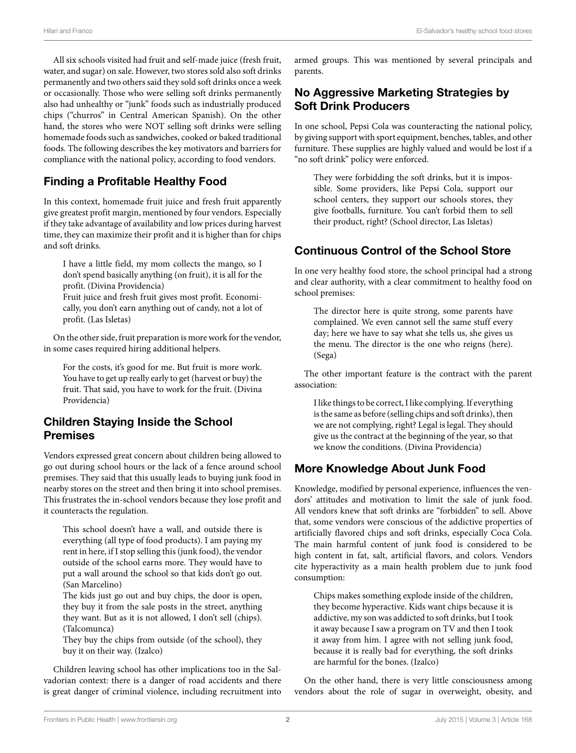All six schools visited had fruit and self-made juice (fresh fruit, water, and sugar) on sale. However, two stores sold also soft drinks permanently and two others said they sold soft drinks once a week or occasionally. Those who were selling soft drinks permanently also had unhealthy or "junk" foods such as industrially produced chips ("churros" in Central American Spanish). On the other hand, the stores who were NOT selling soft drinks were selling homemade foods such as sandwiches, cooked or baked traditional foods. The following describes the key motivators and barriers for compliance with the national policy, according to food vendors.

### **Finding a Profitable Healthy Food**

In this context, homemade fruit juice and fresh fruit apparently give greatest profit margin, mentioned by four vendors. Especially if they take advantage of availability and low prices during harvest time, they can maximize their profit and it is higher than for chips and soft drinks.

I have a little field, my mom collects the mango, so I don't spend basically anything (on fruit), it is all for the profit. (Divina Providencia)

Fruit juice and fresh fruit gives most profit. Economically, you don't earn anything out of candy, not a lot of profit. (Las Isletas)

On the other side, fruit preparation is more work for the vendor, in some cases required hiring additional helpers.

For the costs, it's good for me. But fruit is more work. You have to get up really early to get (harvest or buy) the fruit. That said, you have to work for the fruit. (Divina Providencia)

### **Children Staying Inside the School Premises**

Vendors expressed great concern about children being allowed to go out during school hours or the lack of a fence around school premises. They said that this usually leads to buying junk food in nearby stores on the street and then bring it into school premises. This frustrates the in-school vendors because they lose profit and it counteracts the regulation.

This school doesn't have a wall, and outside there is everything (all type of food products). I am paying my rent in here, if I stop selling this (junk food), the vendor outside of the school earns more. They would have to put a wall around the school so that kids don't go out. (San Marcelino)

The kids just go out and buy chips, the door is open, they buy it from the sale posts in the street, anything they want. But as it is not allowed, I don't sell (chips). (Talcomunca)

They buy the chips from outside (of the school), they buy it on their way. (Izalco)

Children leaving school has other implications too in the Salvadorian context: there is a danger of road accidents and there is great danger of criminal violence, including recruitment into armed groups. This was mentioned by several principals and parents.

### **No Aggressive Marketing Strategies by Soft Drink Producers**

In one school, Pepsi Cola was counteracting the national policy, by giving support with sport equipment, benches, tables, and other furniture. These supplies are highly valued and would be lost if a "no soft drink" policy were enforced.

They were forbidding the soft drinks, but it is impossible. Some providers, like Pepsi Cola, support our school centers, they support our schools stores, they give footballs, furniture. You can't forbid them to sell their product, right? (School director, Las Isletas)

# **Continuous Control of the School Store**

In one very healthy food store, the school principal had a strong and clear authority, with a clear commitment to healthy food on school premises:

The director here is quite strong, some parents have complained. We even cannot sell the same stuff every day; here we have to say what she tells us, she gives us the menu. The director is the one who reigns (here). (Sega)

The other important feature is the contract with the parent association:

I like things to be correct, I like complying. If everything is the same as before (selling chips and soft drinks), then we are not complying, right? Legal is legal. They should give us the contract at the beginning of the year, so that we know the conditions. (Divina Providencia)

# **More Knowledge About Junk Food**

Knowledge, modified by personal experience, influences the vendors' attitudes and motivation to limit the sale of junk food. All vendors knew that soft drinks are "forbidden" to sell. Above that, some vendors were conscious of the addictive properties of artificially flavored chips and soft drinks, especially Coca Cola. The main harmful content of junk food is considered to be high content in fat, salt, artificial flavors, and colors. Vendors cite hyperactivity as a main health problem due to junk food consumption:

Chips makes something explode inside of the children, they become hyperactive. Kids want chips because it is addictive, my son was addicted to soft drinks, but I took it away because I saw a program on TV and then I took it away from him. I agree with not selling junk food, because it is really bad for everything, the soft drinks are harmful for the bones. (Izalco)

On the other hand, there is very little consciousness among vendors about the role of sugar in overweight, obesity, and